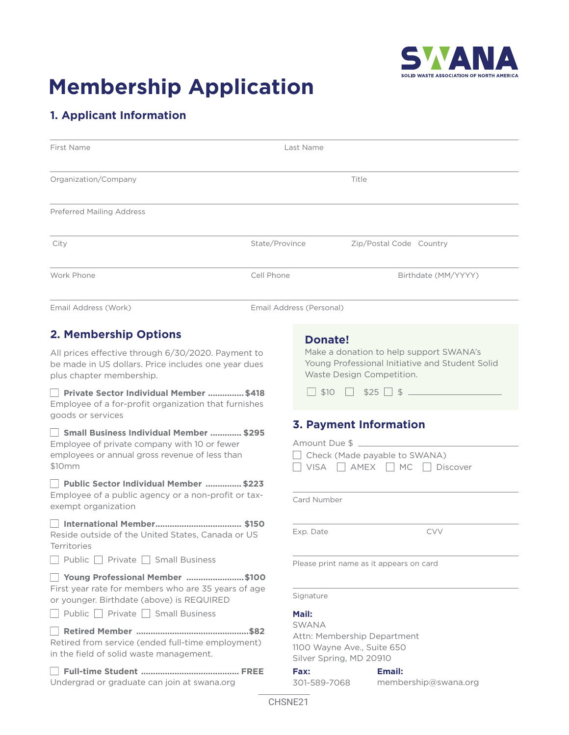

# **Membership Application**

## **1. Applicant Information**

Undergrad or graduate can join at swana.org

| First Name                                                                                                                                                                                                             | Last Name                |                                                                                                                                                                                                     |                                         |                     |
|------------------------------------------------------------------------------------------------------------------------------------------------------------------------------------------------------------------------|--------------------------|-----------------------------------------------------------------------------------------------------------------------------------------------------------------------------------------------------|-----------------------------------------|---------------------|
| Organization/Company                                                                                                                                                                                                   | Title                    |                                                                                                                                                                                                     |                                         |                     |
| <b>Preferred Mailing Address</b>                                                                                                                                                                                       |                          |                                                                                                                                                                                                     |                                         |                     |
| City                                                                                                                                                                                                                   | State/Province           |                                                                                                                                                                                                     | Zip/Postal Code Country                 |                     |
| Work Phone                                                                                                                                                                                                             | Cell Phone               |                                                                                                                                                                                                     |                                         | Birthdate (MM/YYYY) |
| Email Address (Work)                                                                                                                                                                                                   | Email Address (Personal) |                                                                                                                                                                                                     |                                         |                     |
| 2. Membership Options<br>All prices effective through 6/30/2020. Payment to<br>be made in US dollars. Price includes one year dues<br>plus chapter membership.<br>Private Sector Individual Member  \$418              |                          | <b>Donate!</b><br>Make a donation to help support SWANA's<br>Young Professional Initiative and Student Solid<br>Waste Design Competition.<br>$\frac{1}{2}$ \$10 $\frac{1}{2}$ \$25 $\frac{1}{2}$ \$ |                                         |                     |
| Employee of a for-profit organization that furnishes<br>goods or services<br>Small Business Individual Member  \$295<br>Employee of private company with 10 or fewer<br>employees or annual gross revenue of less than |                          | <b>3. Payment Information</b><br>Amount Due \$<br>Check (Made payable to SWANA)                                                                                                                     |                                         |                     |
| \$10 <sub>mm</sub><br>Public Sector Individual Member  \$223<br>Employee of a public agency or a non-profit or tax-<br>exempt organization                                                                             |                          | Card Number                                                                                                                                                                                         | VISA AMEX MC Discover                   |                     |
| Reside outside of the United States, Canada or US<br>Territories<br>Public Private Small Business                                                                                                                      |                          | Exp. Date                                                                                                                                                                                           |                                         | <b>CVV</b>          |
| Young Professional Member \$100<br>First year rate for members who are 35 years of age<br>or younger. Birthdate (above) is REQUIRED                                                                                    |                          | Signature                                                                                                                                                                                           | Please print name as it appears on card |                     |
| Public Private Small Business<br>Retired from service (ended full-time employment)<br>in the field of solid waste management.                                                                                          |                          | Mail:<br><b>SWANA</b><br>Attn: Membership Department<br>1100 Wayne Ave., Suite 650<br>Silver Spring, MD 20910<br><b>Fax:</b>                                                                        |                                         |                     |
|                                                                                                                                                                                                                        |                          |                                                                                                                                                                                                     | <b>Email:</b>                           |                     |

301-589-7068

membership[@swana.org](mailto:memberships%40swana.org?subject=)